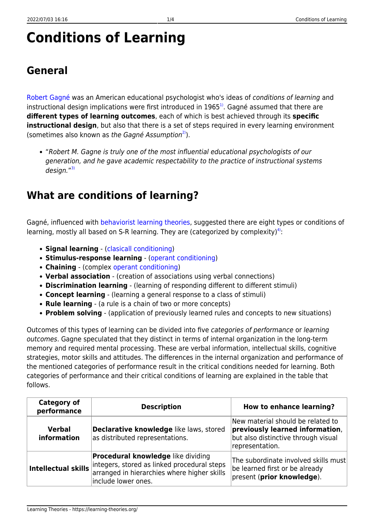# **Conditions of Learning**

## **General**

[Robert Gagné](http://www.ibstpi.org/Products/pdf/appendix_A-C.pdf) was an American educational psychologist who's ideas of conditions of learning and instructional design implications were first introduced in 1965<sup>1</sup>. Gagné assumed that there are **different types of learning outcomes**, each of which is best achieved through its **specific instructional design**, but also that there is a set of steps required in every learning environment (sometimes also known as the Gagné Assumption<sup>2</sup>).

"Robert M. Gagne is truly one of the most influential educational psychologists of our generation, and he gave academic respectability to the practice of instructional systems design."<sup>[3\)](#page--1-0)</sup>

#### **What are conditions of learning?**

Gagné, influenced with [behaviorist learning theories,](https://learning-theories.org/doku.php?id=learning_paradigms:behaviorism) suggested there are eight types or conditions of learning, mostly all based on S-R learning. They are (categorized by complexity)<sup>[4\)](#page--1-0)</sup>:

- **Signal learning** ([clasicall conditioning](https://learning-theories.org/doku.php?id=learning_theories:clasicall_conditioning))
- **Stimulus-response learning** [\(operant conditioning\)](https://learning-theories.org/doku.php?id=learning_theories:operant_conditioning)
- **Chaining** (complex [operant conditioning](https://learning-theories.org/doku.php?id=learning_theories:operant_conditioning))
- **Verbal association** (creation of associations using verbal connections)
- **Discrimination learning** (learning of responding different to different stimuli)
- **Concept learning** (learning a general response to a class of stimuli)
- **Rule learning** (a rule is a chain of two or more concepts)
- **Problem solving** (application of previously learned rules and concepts to new situations)

Outcomes of this types of learning can be divided into five categories of performance or learning outcomes. Gagne speculated that they distinct in terms of internal organization in the long-term memory and required mental processing. These are verbal information, intellectual skills, cognitive strategies, motor skills and attitudes. The differences in the internal organization and performance of the mentioned categories of performance result in the critical conditions needed for learning. Both categories of performance and their critical conditions of learning are explained in the table that follows.

| <b>Category of</b><br>performance | <b>Description</b>                                                                                                                                             | <b>How to enhance learning?</b>                                                                                                |
|-----------------------------------|----------------------------------------------------------------------------------------------------------------------------------------------------------------|--------------------------------------------------------------------------------------------------------------------------------|
| <b>Verbal</b><br>information      | Declarative knowledge like laws, stored<br>as distributed representations.                                                                                     | New material should be related to<br>previously learned information,<br>but also distinctive through visual<br>representation. |
| Intellectual skills               | <b>Procedural knowledge</b> like dividing<br>integers, stored as linked procedural steps<br>arranged in hierarchies where higher skills<br>include lower ones. | The subordinate involved skills must<br>be learned first or be already<br>present (prior knowledge).                           |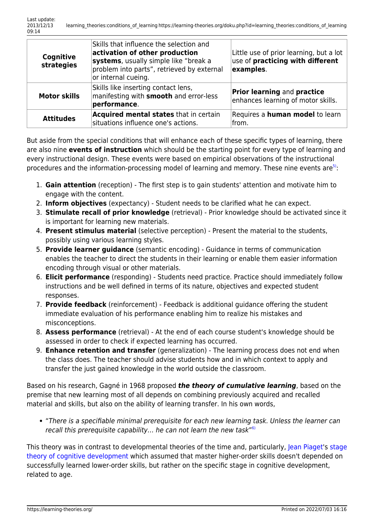| Cognitive<br>strategies | Skills that influence the selection and<br>activation of other production<br>systems, usually simple like "break a<br>problem into parts", retrieved by external<br>or internal cueing. | Little use of prior learning, but a lot<br>use of <b>practicing with different</b><br>examples. |
|-------------------------|-----------------------------------------------------------------------------------------------------------------------------------------------------------------------------------------|-------------------------------------------------------------------------------------------------|
| <b>Motor skills</b>     | Skills like inserting contact lens,<br>manifesting with <b>smooth</b> and error-less<br>performance.                                                                                    | <b>Prior learning and practice</b><br>enhances learning of motor skills.                        |
| <b>Attitudes</b>        | Acquired mental states that in certain<br>situations influence one's actions.                                                                                                           | Requires a <b>human model</b> to learn<br>lfrom.                                                |

But aside from the special conditions that will enhance each of these specific types of learning, there are also nine **events of instruction** which should be the starting point for every type of learning and every instructional design. These events were based on empirical observations of the instructional procedures and the information-processing model of learning and memory. These nine events are<sup>[5\)](#page--1-0)</sup>:

- 1. **Gain attention** (reception) The first step is to gain students' attention and motivate him to engage with the content.
- 2. **Inform objectives** (expectancy) Student needs to be clarified what he can expect.
- 3. **Stimulate recall of prior knowledge** (retrieval) Prior knowledge should be activated since it is important for learning new materials.
- 4. **Present stimulus material** (selective perception) Present the material to the students, possibly using various learning styles.
- 5. **Provide learner guidance** (semantic encoding) Guidance in terms of communication enables the teacher to direct the students in their learning or enable them easier information encoding through visual or other materials.
- 6. **Elicit performance** (responding) Students need practice. Practice should immediately follow instructions and be well defined in terms of its nature, objectives and expected student responses.
- 7. **Provide feedback** (reinforcement) Feedback is additional guidance offering the student immediate evaluation of his performance enabling him to realize his mistakes and misconceptions.
- 8. **Assess performance** (retrieval) At the end of each course student's knowledge should be assessed in order to check if expected learning has occurred.
- 9. **Enhance retention and transfer** (generalization) The learning process does not end when the class does. The teacher should advise students how and in which context to apply and transfer the just gained knowledge in the world outside the classroom.

Based on his research, Gagné in 1968 proposed *the theory of cumulative learning*, based on the premise that new learning most of all depends on combining previously acquired and recalled material and skills, but also on the ability of learning transfer. In his own words,

"There is a specifiable minimal prerequisite for each new learning task. Unless the learner can recall this prerequisite capability... he can not learn the new task"<sup>[6\)](#page--1-0)</sup>

This theory was in contrast to developmental theories of the time and, particularly, [Jean Piaget](http://www.piaget.org/aboutPiaget.html)'s [stage](https://learning-theories.org/doku.php?id=learning_theories:stage_theory_of_cognitive_development) [theory of cognitive development](https://learning-theories.org/doku.php?id=learning_theories:stage_theory_of_cognitive_development) which assumed that master higher-order skills doesn't depended on successfully learned lower-order skills, but rather on the specific stage in cognitive development, related to age.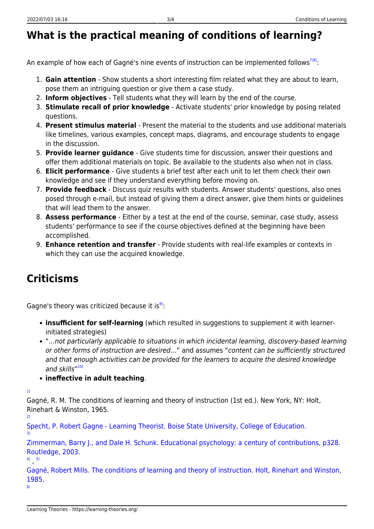### **What is the practical meaning of conditions of learning?**

An example of how each of Gagné's nine events of instruction can be implemented follows<sup>[7\)8\)](#page--1-0)</sup>:

- 1. **Gain attention** Show students a short interesting film related what they are about to learn, pose them an intriguing question or give them a case study.
- 2. **Inform objectives** Tell students what they will learn by the end of the course.
- 3. **Stimulate recall of prior knowledge** Activate students' prior knowledge by posing related questions.
- 4. **Present stimulus material** Present the material to the students and use additional materials like timelines, various examples, concept maps, diagrams, and encourage students to engage in the discussion.
- 5. **Provide learner guidance** Give students time for discussion, answer their questions and offer them additional materials on topic. Be available to the students also when not in class.
- 6. **Elicit performance** Give students a brief test after each unit to let them check their own knowledge and see if they understand everything before moving on.
- 7. **Provide feedback** Discuss quiz results with students. Answer students' questions, also ones posed through e-mail, but instead of giving them a direct answer, give them hints or guidelines that will lead them to the answer.
- 8. **Assess performance** Either by a test at the end of the course, seminar, case study, assess students' performance to see if the course objectives defined at the beginning have been accomplished.
- 9. **Enhance retention and transfer** Provide students with real-life examples or contexts in which they can use the acquired knowledge.

#### **Criticisms**

Gagne's theory was criticized because it is<sup>[9\)](#page--1-0)</sup>:

- **insufficient for self-learning** (which resulted in suggestions to supplement it with learnerinitiated strategies)
- "…not particularly applicable to situations in which incidental learning, discovery-based learning or other forms of instruction are desired…" and assumes "content can be sufficiently structured and that enough activities can be provided for the learners to acquire the desired knowledge and skills"<sup>[10\)](#page--1-0)</sup>
- **ineffective in adult teaching**.

[1\)](#page--1-0)

[3\)](#page--1-0)

Gagné, R. M. The conditions of learning and theory of instruction (1st ed.). New York, NY: Holt, Rinehart & Winston, 1965. [2\)](#page--1-0)

[Specht, P. Robert Gagne - Learning Theorist. Boise State University, College of Education.](http://edtech2.boisestate.edu/spechtp/575/learningtheorist.html)

[Zimmerman, Barry J., and Dale H. Schunk. Educational psychology: a century of contributions, p328.](http://www.scribd.com/doc/41760294/Educational-Psychology-a-Century-of-Contributions) [Routledge, 2003.](http://www.scribd.com/doc/41760294/Educational-Psychology-a-Century-of-Contributions)

[4\)](#page--1-0) , [5\)](#page--1-0)

[Gagné, Robert Mills. The conditions of learning and theory of instruction. Holt, Rinehart and Winston,](http://books.google.com/books?id=c1MmAQAAIAAJ) [1985.](http://books.google.com/books?id=c1MmAQAAIAAJ) [6\)](#page--1-0)